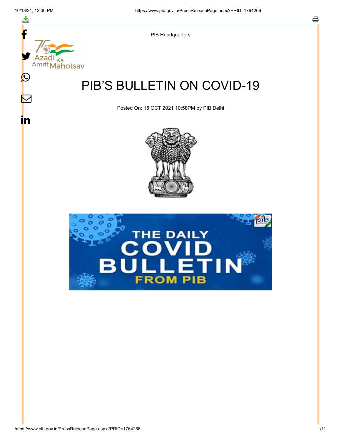스

Ⅳ

in



PIB Headquarters

## PIB'S BULLETIN ON COVID-19

Posted On: 15 OCT 2021 10:58PM by PIB Delhi



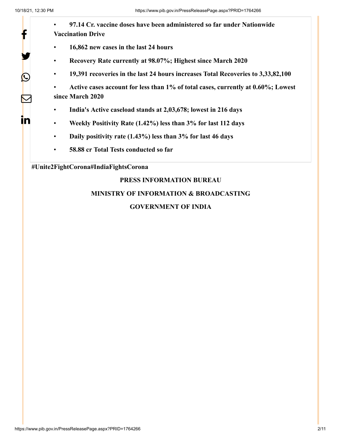У.

 $\bigcirc$ 

 $\overline{\nabla}$ 

in

- **97.14 Cr. vaccine doses have been administered so far under Nationwide Vaccination Drive**
- **16,862 new cases in the last 24 hours**
- **Recovery Rate currently at 98.07%; Highest since March 2020**
- **19,391 recoveries in the last 24 hours increases Total Recoveries to 3,33,82,100**

• **Active cases account for less than 1% of total cases, currently at 0.60%; Lowest since March 2020**

- **India's Active caseload stands at 2,03,678; lowest in 216 days**
- **Weekly Positivity Rate (1.42%) less than 3% for last 112 days**
- **Daily positivity rate (1.43%) less than 3% for last 46 days**
- **58.88 cr Total Tests conducted so far**

#### **#Unite2FightCorona#IndiaFightsCorona**

### **PRESS INFORMATION BUREAU**

### **MINISTRY OF INFORMATION & BROADCASTING**

#### **GOVERNMENT OF INDIA**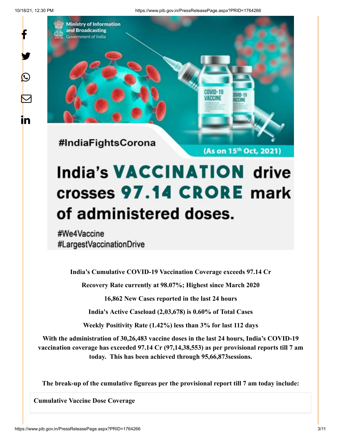y.

 $\bigcirc$ 

 $\boldsymbol{\nabla}$ 

in

10/18/21, 12:30 PM https://www.pib.gov.in/PressReleasePage.aspx?PRID=1764266



# **India's VACCINATION drive** crosses 97.14 CRORE mark of administered doses.

#We4Vaccine #LargestVaccinationDrive

**India's Cumulative COVID-19 Vaccination Coverage exceeds 97.14 Cr**

**Recovery Rate currently at 98.07%; Highest since March 2020**

**16,862 New Cases reported in the last 24 hours**

**India's Active Caseload (2,03,678) is 0.60% of Total Cases**

**Weekly Positivity Rate (1.42%) less than 3% for last 112 days**

**With the administration of 30,26,483 vaccine doses in the last 24 hours, India's COVID-19 vaccination coverage has exceeded 97.14 Cr (97,14,38,553) as per provisional reports till 7 am today. This has been achieved through 95,66,873sessions.**

**The break-up of the cumulative figureas per the provisional report till 7 am today include:**

**Cumulative Vaccine Dose Coverage**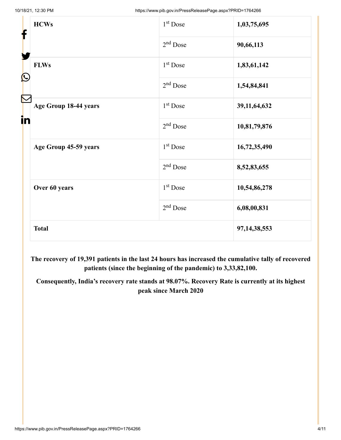| f<br>$\mathbf{\Omega}$ | <b>HCWs</b>           | 1 <sup>st</sup> Dose | 1,03,75,695     |
|------------------------|-----------------------|----------------------|-----------------|
|                        |                       | $2nd$ Dose           | 90,66,113       |
|                        | <b>FLWs</b>           | $1st$ Dose           | 1,83,61,142     |
|                        |                       | $2nd$ Dose           | 1,54,84,841     |
| in                     | Age Group 18-44 years | $1st$ Dose           | 39, 11, 64, 632 |
|                        |                       | $2nd$ Dose           | 10,81,79,876    |
|                        | Age Group 45-59 years | $1st$ Dose           | 16,72,35,490    |
|                        |                       | 2 <sup>nd</sup> Dose | 8,52,83,655     |
|                        | Over 60 years         | $1st$ Dose           | 10,54,86,278    |
|                        |                       | $2nd$ Dose           | 6,08,00,831     |
|                        | <b>Total</b>          |                      | 97, 14, 38, 553 |

**The recovery of 19,391 patients in the last 24 hours has increased the cumulative tally of recovered patients (since the beginning of the pandemic) to 3,33,82,100.**

**Consequently, India's recovery rate stands at 98.07%. Recovery Rate is currently at its highest peak since March 2020**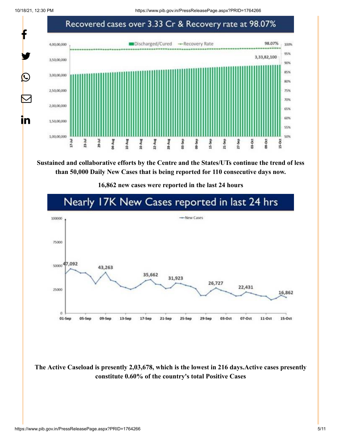10/18/21, 12:30 PM https://www.pib.gov.in/PressReleasePage.aspx?PRID=1764266



**Sustained and collaborative efforts by the Centre and the States/UTs continue the trend of less than 50,000 Daily New Cases that is being reported for 110 consecutive days now.**

**16,862 new cases were reported in the last 24 hours**



**The Active Caseload is presently 2,03,678, which is the lowest in 216 days.Active cases presently constitute 0.60% of the country's total Positive Cases**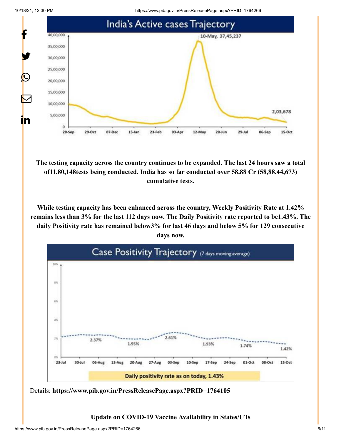10/18/21, 12:30 PM https://www.pib.gov.in/PressReleasePage.aspx?PRID=1764266





**The testing capacity across the country continues to be expanded. The last 24 hours saw a total of11,80,148tests being conducted. India has so far conducted over 58.88 Cr (58,88,44,673) cumulative tests.**

**While testing capacity has been enhanced across the country, Weekly Positivity Rate at 1.42% remains less than 3% for the last 112 days now. The Daily Positivity rate reported to be1.43%. The daily Positivity rate has remained below3% for last 46 days and below 5% for 129 consecutive days now.**



Details: **<https://www.pib.gov.in/PressReleasePage.aspx?PRID=1764105>**

**Update on COVID-19 Vaccine Availability in States/UTs**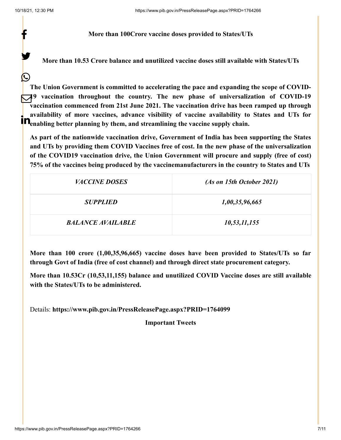y.

 $\bm{\mathcal{Q}}$ 

#### **More than 100Crore vaccine doses provided to States/UTs**

**More than 10.53 Crore balance and unutilized vaccine doses still available with States/UTs**

**The Union Government is committed to accelerating the pace and expanding the scope of COVID-19 vaccination throughout the country. The new phase of universalization of COVID-19 vaccination commenced from 21st June 2021. The vaccination drive has been ramped up through availability of more vaccines, advance visibility of vaccine availability to States and UTs for example in the state of the vaccines, advance visibility of vaccine availability to**  $\mathbf{R}_{\text{enabling}}$  **better planning by them, and streamlining the vaccine supply chain.** 

**As part of the nationwide vaccination drive, Government of India has been supporting the States and UTs by providing them COVID Vaccines free of cost. In the new phase of the universalization of the COVID19 vaccination drive, the Union Government will procure and supply (free of cost) 75% of the vaccines being produced by the vaccinemanufacturers in the country to States and UTs**

| <i>VACCINE DOSES</i>     | (As on 15th October 2021) |
|--------------------------|---------------------------|
| <b>SUPPLIED</b>          | 1,00,35,96,665            |
| <b>BALANCE AVAILABLE</b> | 10,53,11,155              |

**More than 100 crore (1,00,35,96,665) vaccine doses have been provided to States/UTs so far through Govt of India (free of cost channel) and through direct state procurement category.**

**More than 10.53Cr (10,53,11,155) balance and unutilized COVID Vaccine doses are still available with the States/UTs to be administered.**

Details: **<https://www.pib.gov.in/PressReleasePage.aspx?PRID=1764099>**

**Important Tweets**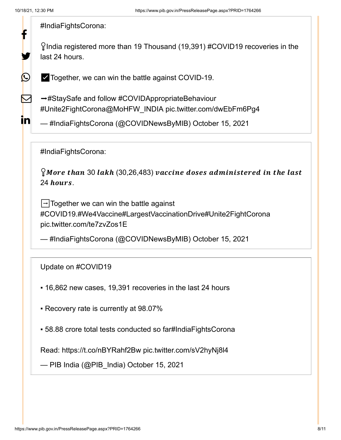У.

 $\bigcirc$ 

 $\boldsymbol{\mathsf{Z}}$ 

<u>in</u>

[#IndiaFightsCorona](https://twitter.com/hashtag/IndiaFightsCorona?src=hash&ref_src=twsrc%5Etfw):

 $\gamma$ India registered more than 19 Thousand (19,391) [#COVID19](https://twitter.com/hashtag/COVID19?src=hash&ref_src=twsrc%5Etfw) recoveries in the last 24 hours.

✅Together, we can win the battle against COVID-19.

→[#StaySafe](https://twitter.com/hashtag/StaySafe?src=hash&ref_src=twsrc%5Etfw) and follow [#COVIDAppropriateBehaviour](https://twitter.com/hashtag/COVIDAppropriateBehaviour?src=hash&ref_src=twsrc%5Etfw) [#Unite2FightCorona](https://twitter.com/hashtag/Unite2FightCorona?src=hash&ref_src=twsrc%5Etfw)[@MoHFW\\_INDIA](https://twitter.com/MoHFW_INDIA?ref_src=twsrc%5Etfw) [pic.twitter.com/dwEbFm6Pg4](https://t.co/dwEbFm6Pg4)

— #IndiaFightsCorona (@COVIDNewsByMIB) [October 15, 2021](https://twitter.com/COVIDNewsByMIB/status/1448934933142007816?ref_src=twsrc%5Etfw)

[#IndiaFightsCorona](https://twitter.com/hashtag/IndiaFightsCorona?src=hash&ref_src=twsrc%5Etfw):

 $\gamma$ More than 30 lakh (30,26,483) vaccine doses administered in the last 24 hours.

 $\rightarrow$  Together we can win the battle against [#COVID19](https://twitter.com/hashtag/COVID19?src=hash&ref_src=twsrc%5Etfw)[.#We4Vaccine](https://twitter.com/hashtag/We4Vaccine?src=hash&ref_src=twsrc%5Etfw)[#LargestVaccinationDrive](https://twitter.com/hashtag/LargestVaccinationDrive?src=hash&ref_src=twsrc%5Etfw)[#Unite2FightCorona](https://twitter.com/hashtag/Unite2FightCorona?src=hash&ref_src=twsrc%5Etfw) [pic.twitter.com/te7zvZos1E](https://t.co/te7zvZos1E)

— #IndiaFightsCorona (@COVIDNewsByMIB) [October 15, 2021](https://twitter.com/COVIDNewsByMIB/status/1448890249094987777?ref_src=twsrc%5Etfw)

Update on [#COVID19](https://twitter.com/hashtag/COVID19?src=hash&ref_src=twsrc%5Etfw)

- ▪️ 16,862 new cases, 19,391 recoveries in the last 24 hours
- ▪️ Recovery rate is currently at 98.07%
- 58.88 crore total tests conducted so far[#IndiaFightsCorona](https://twitter.com/hashtag/IndiaFightsCorona?src=hash&ref_src=twsrc%5Etfw)

Read: <https://t.co/nBYRahf2Bw> [pic.twitter.com/sV2hyNj8l4](https://t.co/sV2hyNj8l4)

— PIB India (@PIB\_India) [October 15, 2021](https://twitter.com/PIB_India/status/1448878654889496576?ref_src=twsrc%5Etfw)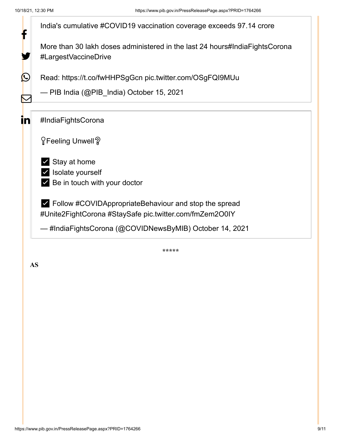

**AS**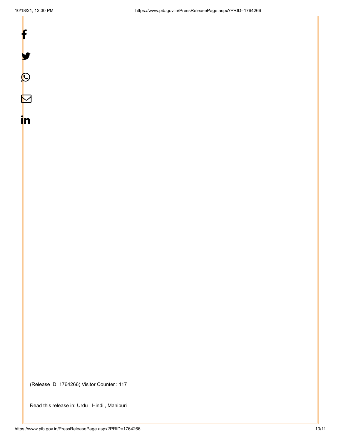

in

(Release ID: 1764266) Visitor Counter : 117

Read this release in: [Urdu](https://pib.gov.in/PressReleasePage.aspx?PRID=1764536) , [Hindi](https://pib.gov.in/PressReleasePage.aspx?PRID=1764278) , [Manipuri](https://pib.gov.in/PressReleasePage.aspx?PRID=1764311)